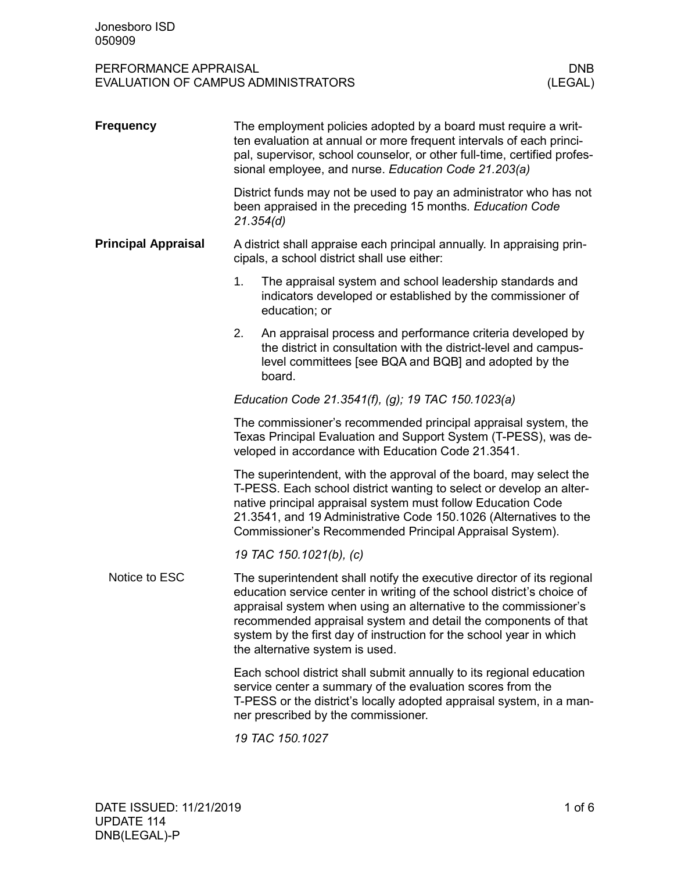| <b>Frequency</b>           | The employment policies adopted by a board must require a writ-<br>ten evaluation at annual or more frequent intervals of each princi-<br>pal, supervisor, school counselor, or other full-time, certified profes-<br>sional employee, and nurse. Education Code 21.203(a)                                                                                                                       |  |  |  |  |
|----------------------------|--------------------------------------------------------------------------------------------------------------------------------------------------------------------------------------------------------------------------------------------------------------------------------------------------------------------------------------------------------------------------------------------------|--|--|--|--|
|                            | District funds may not be used to pay an administrator who has not<br>been appraised in the preceding 15 months. Education Code<br>21.354(d)                                                                                                                                                                                                                                                     |  |  |  |  |
| <b>Principal Appraisal</b> | A district shall appraise each principal annually. In appraising prin-<br>cipals, a school district shall use either:                                                                                                                                                                                                                                                                            |  |  |  |  |
|                            | 1.<br>The appraisal system and school leadership standards and<br>indicators developed or established by the commissioner of<br>education; or                                                                                                                                                                                                                                                    |  |  |  |  |
|                            | 2.<br>An appraisal process and performance criteria developed by<br>the district in consultation with the district-level and campus-<br>level committees [see BQA and BQB] and adopted by the<br>board.                                                                                                                                                                                          |  |  |  |  |
|                            | Education Code 21.3541(f), (g); 19 TAC 150.1023(a)                                                                                                                                                                                                                                                                                                                                               |  |  |  |  |
|                            | The commissioner's recommended principal appraisal system, the<br>Texas Principal Evaluation and Support System (T-PESS), was de-<br>veloped in accordance with Education Code 21.3541.                                                                                                                                                                                                          |  |  |  |  |
|                            | The superintendent, with the approval of the board, may select the<br>T-PESS. Each school district wanting to select or develop an alter-<br>native principal appraisal system must follow Education Code<br>21.3541, and 19 Administrative Code 150.1026 (Alternatives to the<br>Commissioner's Recommended Principal Appraisal System).                                                        |  |  |  |  |
|                            | 19 TAC 150.1021(b), (c)                                                                                                                                                                                                                                                                                                                                                                          |  |  |  |  |
| Notice to ESC              | The superintendent shall notify the executive director of its regional<br>education service center in writing of the school district's choice of<br>appraisal system when using an alternative to the commissioner's<br>recommended appraisal system and detail the components of that<br>system by the first day of instruction for the school year in which<br>the alternative system is used. |  |  |  |  |
|                            | Each school district shall submit annually to its regional education<br>service center a summary of the evaluation scores from the<br>T-PESS or the district's locally adopted appraisal system, in a man-<br>ner prescribed by the commissioner.                                                                                                                                                |  |  |  |  |
|                            | 19 TAC 150.1027                                                                                                                                                                                                                                                                                                                                                                                  |  |  |  |  |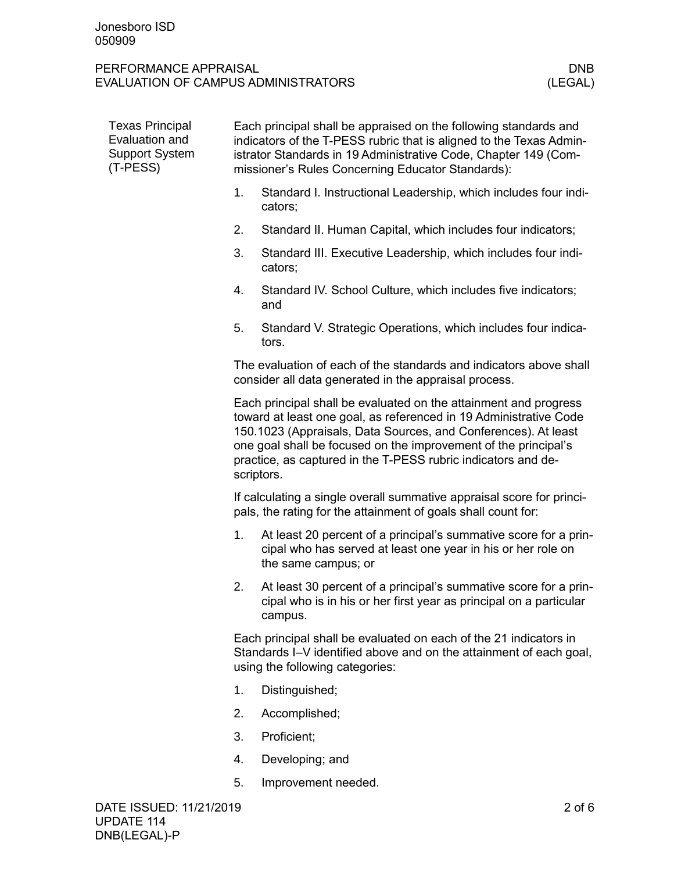| <b>Texas Principal</b><br>Evaluation and<br><b>Support System</b><br>(T-PESS) | Each principal shall be appraised on the following standards and<br>indicators of the T-PESS rubric that is aligned to the Texas Admin-<br>istrator Standards in 19 Administrative Code, Chapter 149 (Com-<br>missioner's Rules Concerning Educator Standards): |                                                                                                                                                                                                                                                                                                                                                           |                                                                                                                                                         |  |  |  |
|-------------------------------------------------------------------------------|-----------------------------------------------------------------------------------------------------------------------------------------------------------------------------------------------------------------------------------------------------------------|-----------------------------------------------------------------------------------------------------------------------------------------------------------------------------------------------------------------------------------------------------------------------------------------------------------------------------------------------------------|---------------------------------------------------------------------------------------------------------------------------------------------------------|--|--|--|
|                                                                               |                                                                                                                                                                                                                                                                 | 1.                                                                                                                                                                                                                                                                                                                                                        | Standard I. Instructional Leadership, which includes four indi-<br>cators;                                                                              |  |  |  |
|                                                                               |                                                                                                                                                                                                                                                                 | 2.                                                                                                                                                                                                                                                                                                                                                        | Standard II. Human Capital, which includes four indicators;                                                                                             |  |  |  |
|                                                                               |                                                                                                                                                                                                                                                                 | 3.                                                                                                                                                                                                                                                                                                                                                        | Standard III. Executive Leadership, which includes four indi-<br>cators;                                                                                |  |  |  |
|                                                                               |                                                                                                                                                                                                                                                                 | 4.                                                                                                                                                                                                                                                                                                                                                        | Standard IV. School Culture, which includes five indicators;<br>and                                                                                     |  |  |  |
|                                                                               |                                                                                                                                                                                                                                                                 | 5.                                                                                                                                                                                                                                                                                                                                                        | Standard V. Strategic Operations, which includes four indica-<br>tors.                                                                                  |  |  |  |
|                                                                               |                                                                                                                                                                                                                                                                 |                                                                                                                                                                                                                                                                                                                                                           | The evaluation of each of the standards and indicators above shall<br>consider all data generated in the appraisal process.                             |  |  |  |
|                                                                               |                                                                                                                                                                                                                                                                 | Each principal shall be evaluated on the attainment and progress<br>toward at least one goal, as referenced in 19 Administrative Code<br>150.1023 (Appraisals, Data Sources, and Conferences). At least<br>one goal shall be focused on the improvement of the principal's<br>practice, as captured in the T-PESS rubric indicators and de-<br>scriptors. |                                                                                                                                                         |  |  |  |
|                                                                               |                                                                                                                                                                                                                                                                 | If calculating a single overall summative appraisal score for princi-<br>pals, the rating for the attainment of goals shall count for:                                                                                                                                                                                                                    |                                                                                                                                                         |  |  |  |
|                                                                               |                                                                                                                                                                                                                                                                 | 1.                                                                                                                                                                                                                                                                                                                                                        | At least 20 percent of a principal's summative score for a prin-<br>cipal who has served at least one year in his or her role on<br>the same campus; or |  |  |  |
|                                                                               |                                                                                                                                                                                                                                                                 | 2.                                                                                                                                                                                                                                                                                                                                                        | At least 30 percent of a principal's summative score for a prin-<br>cipal who is in his or her first year as principal on a particular<br>campus.       |  |  |  |
|                                                                               |                                                                                                                                                                                                                                                                 | Each principal shall be evaluated on each of the 21 indicators in<br>Standards I-V identified above and on the attainment of each goal,<br>using the following categories:                                                                                                                                                                                |                                                                                                                                                         |  |  |  |
|                                                                               |                                                                                                                                                                                                                                                                 | 1.                                                                                                                                                                                                                                                                                                                                                        | Distinguished;                                                                                                                                          |  |  |  |
|                                                                               |                                                                                                                                                                                                                                                                 | 2.                                                                                                                                                                                                                                                                                                                                                        | Accomplished;                                                                                                                                           |  |  |  |
|                                                                               |                                                                                                                                                                                                                                                                 | 3.                                                                                                                                                                                                                                                                                                                                                        | Proficient;                                                                                                                                             |  |  |  |
|                                                                               |                                                                                                                                                                                                                                                                 | 4.                                                                                                                                                                                                                                                                                                                                                        | Developing; and                                                                                                                                         |  |  |  |
|                                                                               |                                                                                                                                                                                                                                                                 | 5.                                                                                                                                                                                                                                                                                                                                                        | Improvement needed.                                                                                                                                     |  |  |  |
|                                                                               | DATE ISSUED: 11/21/2019                                                                                                                                                                                                                                         |                                                                                                                                                                                                                                                                                                                                                           | $2$ of $6$                                                                                                                                              |  |  |  |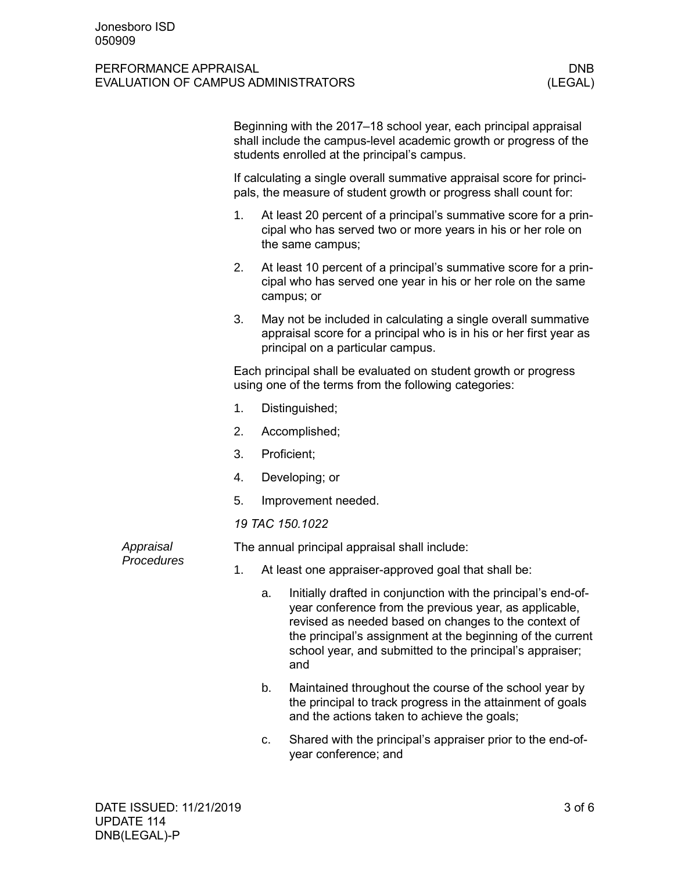|  |            | Beginning with the 2017–18 school year, each principal appraisal<br>shall include the campus-level academic growth or progress of the<br>students enrolled at the principal's campus. |             |                                                                                                                                                                                                                                                                                                                 |  |
|--|------------|---------------------------------------------------------------------------------------------------------------------------------------------------------------------------------------|-------------|-----------------------------------------------------------------------------------------------------------------------------------------------------------------------------------------------------------------------------------------------------------------------------------------------------------------|--|
|  |            |                                                                                                                                                                                       |             | If calculating a single overall summative appraisal score for princi-<br>pals, the measure of student growth or progress shall count for:                                                                                                                                                                       |  |
|  |            | 1.                                                                                                                                                                                    |             | At least 20 percent of a principal's summative score for a prin-<br>cipal who has served two or more years in his or her role on<br>the same campus;                                                                                                                                                            |  |
|  |            | 2.                                                                                                                                                                                    |             | At least 10 percent of a principal's summative score for a prin-<br>cipal who has served one year in his or her role on the same<br>campus; or                                                                                                                                                                  |  |
|  |            | 3.                                                                                                                                                                                    |             | May not be included in calculating a single overall summative<br>appraisal score for a principal who is in his or her first year as<br>principal on a particular campus.                                                                                                                                        |  |
|  |            | Each principal shall be evaluated on student growth or progress<br>using one of the terms from the following categories:                                                              |             |                                                                                                                                                                                                                                                                                                                 |  |
|  |            | 1.                                                                                                                                                                                    |             | Distinguished;                                                                                                                                                                                                                                                                                                  |  |
|  |            | 2.                                                                                                                                                                                    |             | Accomplished;                                                                                                                                                                                                                                                                                                   |  |
|  |            | 3.                                                                                                                                                                                    | Proficient; |                                                                                                                                                                                                                                                                                                                 |  |
|  |            | 4.                                                                                                                                                                                    |             | Developing; or                                                                                                                                                                                                                                                                                                  |  |
|  |            | 5.                                                                                                                                                                                    |             | Improvement needed.                                                                                                                                                                                                                                                                                             |  |
|  |            | 19 TAC 150.1022                                                                                                                                                                       |             |                                                                                                                                                                                                                                                                                                                 |  |
|  | Appraisal  |                                                                                                                                                                                       |             | The annual principal appraisal shall include:                                                                                                                                                                                                                                                                   |  |
|  | Procedures | 1.                                                                                                                                                                                    |             | At least one appraiser-approved goal that shall be:                                                                                                                                                                                                                                                             |  |
|  |            |                                                                                                                                                                                       | a.          | Initially drafted in conjunction with the principal's end-of-<br>year conference from the previous year, as applicable<br>revised as needed based on changes to the context of<br>the principal's assignment at the beginning of the current<br>school year, and submitted to the principal's appraiser;<br>and |  |
|  |            |                                                                                                                                                                                       | b.          | Maintained throughout the course of the school year by<br>the principal to track progress in the attainment of goals<br>and the actions taken to achieve the goals;                                                                                                                                             |  |
|  |            |                                                                                                                                                                                       |             | والملاحظ والمتعاون والمستحدث والمستحدث                                                                                                                                                                                                                                                                          |  |

c. Shared with the principal's appraiser prior to the end-ofyear conference; and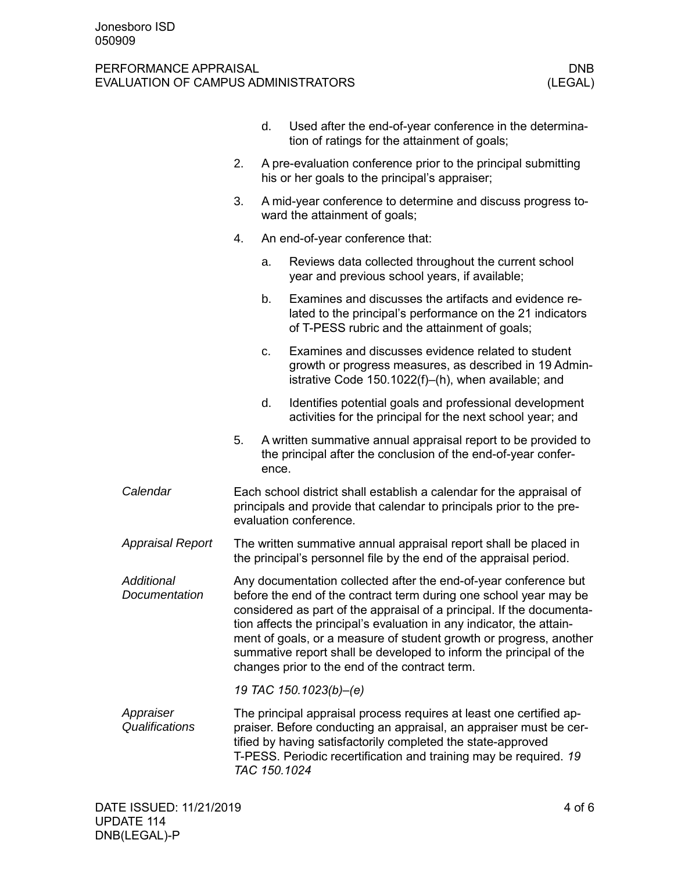|                             |                                                                                                                                                                                                                                                                                                                                                                                                                                                                                       | d.    | Used after the end-of-year conference in the determina-<br>tion of ratings for the attainment of goals;                                                             |  |  |  |
|-----------------------------|---------------------------------------------------------------------------------------------------------------------------------------------------------------------------------------------------------------------------------------------------------------------------------------------------------------------------------------------------------------------------------------------------------------------------------------------------------------------------------------|-------|---------------------------------------------------------------------------------------------------------------------------------------------------------------------|--|--|--|
|                             | 2.                                                                                                                                                                                                                                                                                                                                                                                                                                                                                    |       | A pre-evaluation conference prior to the principal submitting<br>his or her goals to the principal's appraiser;                                                     |  |  |  |
|                             | 3.                                                                                                                                                                                                                                                                                                                                                                                                                                                                                    |       | A mid-year conference to determine and discuss progress to-<br>ward the attainment of goals;                                                                        |  |  |  |
|                             | 4.                                                                                                                                                                                                                                                                                                                                                                                                                                                                                    |       | An end-of-year conference that:                                                                                                                                     |  |  |  |
|                             |                                                                                                                                                                                                                                                                                                                                                                                                                                                                                       | a.    | Reviews data collected throughout the current school<br>year and previous school years, if available;                                                               |  |  |  |
|                             |                                                                                                                                                                                                                                                                                                                                                                                                                                                                                       | b.    | Examines and discusses the artifacts and evidence re-<br>lated to the principal's performance on the 21 indicators<br>of T-PESS rubric and the attainment of goals; |  |  |  |
|                             |                                                                                                                                                                                                                                                                                                                                                                                                                                                                                       | C.    | Examines and discusses evidence related to student<br>growth or progress measures, as described in 19 Admin-<br>istrative Code 150.1022(f)-(h), when available; and |  |  |  |
|                             |                                                                                                                                                                                                                                                                                                                                                                                                                                                                                       | d.    | Identifies potential goals and professional development<br>activities for the principal for the next school year; and                                               |  |  |  |
|                             | 5.                                                                                                                                                                                                                                                                                                                                                                                                                                                                                    | ence. | A written summative annual appraisal report to be provided to<br>the principal after the conclusion of the end-of-year confer-                                      |  |  |  |
| Calendar                    | Each school district shall establish a calendar for the appraisal of<br>principals and provide that calendar to principals prior to the pre-<br>evaluation conference.                                                                                                                                                                                                                                                                                                                |       |                                                                                                                                                                     |  |  |  |
| <b>Appraisal Report</b>     | The written summative annual appraisal report shall be placed in<br>the principal's personnel file by the end of the appraisal period.                                                                                                                                                                                                                                                                                                                                                |       |                                                                                                                                                                     |  |  |  |
| Additional<br>Documentation | Any documentation collected after the end-of-year conference but<br>before the end of the contract term during one school year may be<br>considered as part of the appraisal of a principal. If the documenta-<br>tion affects the principal's evaluation in any indicator, the attain-<br>ment of goals, or a measure of student growth or progress, another<br>summative report shall be developed to inform the principal of the<br>changes prior to the end of the contract term. |       |                                                                                                                                                                     |  |  |  |
|                             |                                                                                                                                                                                                                                                                                                                                                                                                                                                                                       |       | 19 TAC 150.1023(b)-(e)                                                                                                                                              |  |  |  |
| Appraiser<br>Qualifications | The principal appraisal process requires at least one certified ap-<br>praiser. Before conducting an appraisal, an appraiser must be cer-<br>tified by having satisfactorily completed the state-approved<br>T-PESS. Periodic recertification and training may be required. 19<br>TAC 150.1024                                                                                                                                                                                        |       |                                                                                                                                                                     |  |  |  |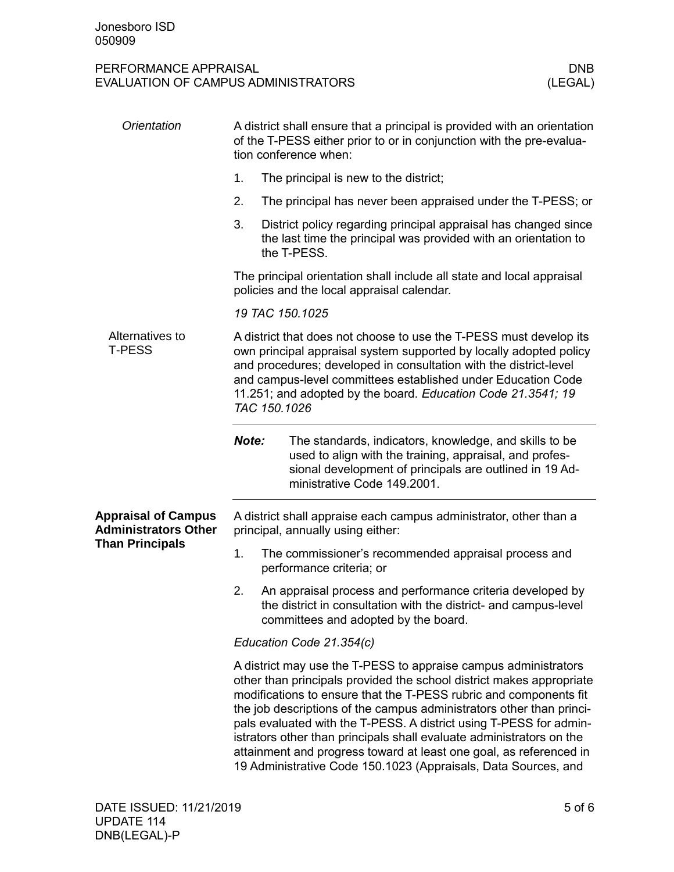| Orientation                                               | A district shall ensure that a principal is provided with an orientation<br>of the T-PESS either prior to or in conjunction with the pre-evalua-<br>tion conference when:                                                                                                                                                                                     |                                                                                                                                                                                                                                                                                                                                                                                                                                                                                                                                                                            |  |  |  |  |
|-----------------------------------------------------------|---------------------------------------------------------------------------------------------------------------------------------------------------------------------------------------------------------------------------------------------------------------------------------------------------------------------------------------------------------------|----------------------------------------------------------------------------------------------------------------------------------------------------------------------------------------------------------------------------------------------------------------------------------------------------------------------------------------------------------------------------------------------------------------------------------------------------------------------------------------------------------------------------------------------------------------------------|--|--|--|--|
|                                                           | 1.                                                                                                                                                                                                                                                                                                                                                            | The principal is new to the district;                                                                                                                                                                                                                                                                                                                                                                                                                                                                                                                                      |  |  |  |  |
|                                                           | 2.                                                                                                                                                                                                                                                                                                                                                            | The principal has never been appraised under the T-PESS; or                                                                                                                                                                                                                                                                                                                                                                                                                                                                                                                |  |  |  |  |
|                                                           | 3.                                                                                                                                                                                                                                                                                                                                                            | District policy regarding principal appraisal has changed since<br>the last time the principal was provided with an orientation to<br>the T-PESS.                                                                                                                                                                                                                                                                                                                                                                                                                          |  |  |  |  |
|                                                           | The principal orientation shall include all state and local appraisal<br>policies and the local appraisal calendar.                                                                                                                                                                                                                                           |                                                                                                                                                                                                                                                                                                                                                                                                                                                                                                                                                                            |  |  |  |  |
|                                                           |                                                                                                                                                                                                                                                                                                                                                               | 19 TAC 150.1025                                                                                                                                                                                                                                                                                                                                                                                                                                                                                                                                                            |  |  |  |  |
| Alternatives to<br><b>T-PESS</b>                          | A district that does not choose to use the T-PESS must develop its<br>own principal appraisal system supported by locally adopted policy<br>and procedures; developed in consultation with the district-level<br>and campus-level committees established under Education Code<br>11.251; and adopted by the board. Education Code 21.3541; 19<br>TAC 150.1026 |                                                                                                                                                                                                                                                                                                                                                                                                                                                                                                                                                                            |  |  |  |  |
|                                                           | Note:                                                                                                                                                                                                                                                                                                                                                         | The standards, indicators, knowledge, and skills to be<br>used to align with the training, appraisal, and profes-<br>sional development of principals are outlined in 19 Ad-<br>ministrative Code 149.2001.                                                                                                                                                                                                                                                                                                                                                                |  |  |  |  |
| <b>Appraisal of Campus</b><br><b>Administrators Other</b> | A district shall appraise each campus administrator, other than a<br>principal, annually using either:                                                                                                                                                                                                                                                        |                                                                                                                                                                                                                                                                                                                                                                                                                                                                                                                                                                            |  |  |  |  |
| <b>Than Principals</b>                                    | 1.                                                                                                                                                                                                                                                                                                                                                            | The commissioner's recommended appraisal process and<br>performance criteria; or                                                                                                                                                                                                                                                                                                                                                                                                                                                                                           |  |  |  |  |
|                                                           | 2.                                                                                                                                                                                                                                                                                                                                                            | An appraisal process and performance criteria developed by<br>the district in consultation with the district- and campus-level<br>committees and adopted by the board.                                                                                                                                                                                                                                                                                                                                                                                                     |  |  |  |  |
|                                                           | Education Code 21.354(c)                                                                                                                                                                                                                                                                                                                                      |                                                                                                                                                                                                                                                                                                                                                                                                                                                                                                                                                                            |  |  |  |  |
|                                                           |                                                                                                                                                                                                                                                                                                                                                               | A district may use the T-PESS to appraise campus administrators<br>other than principals provided the school district makes appropriate<br>modifications to ensure that the T-PESS rubric and components fit<br>the job descriptions of the campus administrators other than princi-<br>pals evaluated with the T-PESS. A district using T-PESS for admin-<br>istrators other than principals shall evaluate administrators on the<br>attainment and progress toward at least one goal, as referenced in<br>19 Administrative Code 150.1023 (Appraisals, Data Sources, and |  |  |  |  |